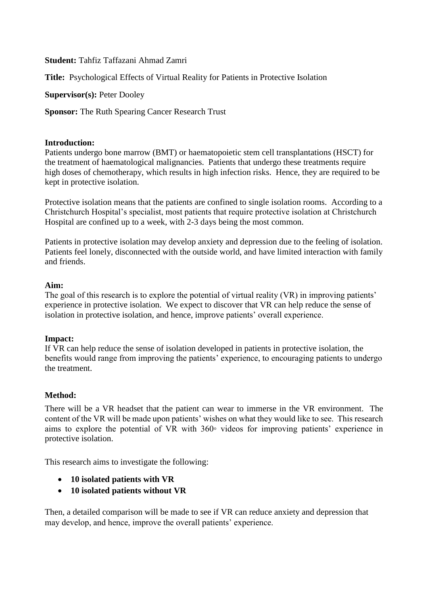**Student:** Tahfiz Taffazani Ahmad Zamri

**Title:** Psychological Effects of Virtual Reality for Patients in Protective Isolation

**Supervisor(s):** Peter Dooley

**Sponsor:** The Ruth Spearing Cancer Research Trust

### **Introduction:**

Patients undergo bone marrow (BMT) or haematopoietic stem cell transplantations (HSCT) for the treatment of haematological malignancies. Patients that undergo these treatments require high doses of chemotherapy, which results in high infection risks. Hence, they are required to be kept in protective isolation.

Protective isolation means that the patients are confined to single isolation rooms. According to a Christchurch Hospital's specialist, most patients that require protective isolation at Christchurch Hospital are confined up to a week, with 2-3 days being the most common.

Patients in protective isolation may develop anxiety and depression due to the feeling of isolation. Patients feel lonely, disconnected with the outside world, and have limited interaction with family and friends.

#### **Aim:**

The goal of this research is to explore the potential of virtual reality (VR) in improving patients' experience in protective isolation. We expect to discover that VR can help reduce the sense of isolation in protective isolation, and hence, improve patients' overall experience.

# **Impact:**

If VR can help reduce the sense of isolation developed in patients in protective isolation, the benefits would range from improving the patients' experience, to encouraging patients to undergo the treatment.

# **Method:**

There will be a VR headset that the patient can wear to immerse in the VR environment. The content of the VR will be made upon patients' wishes on what they would like to see. This research aims to explore the potential of VR with 360◦ videos for improving patients' experience in protective isolation.

This research aims to investigate the following:

- **10 isolated patients with VR**
- **10 isolated patients without VR**

Then, a detailed comparison will be made to see if VR can reduce anxiety and depression that may develop, and hence, improve the overall patients' experience.